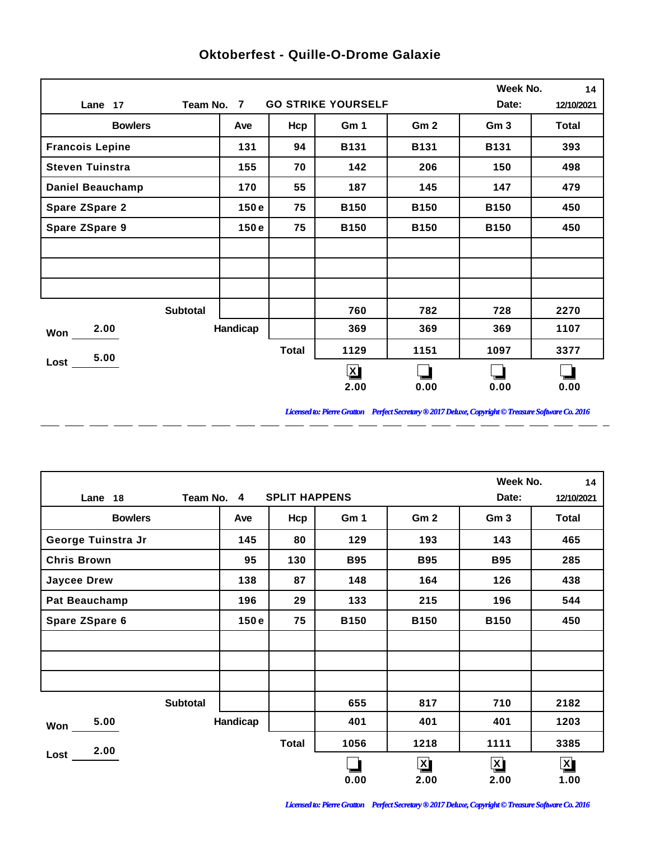|                         |                 |              |             |                 | Week No.        | 14    |
|-------------------------|-----------------|--------------|-------------|-----------------|-----------------|-------|
| Lane 17                 | Date:           | 12/10/2021   |             |                 |                 |       |
| <b>Bowlers</b>          | Ave             | Hcp          | Gm 1        | Gm <sub>2</sub> | Gm <sub>3</sub> | Total |
| <b>Francois Lepine</b>  | 131             | 94           | <b>B131</b> | <b>B131</b>     | <b>B131</b>     | 393   |
| <b>Steven Tuinstra</b>  | 155             | 70           | 142         | 206             | 150             | 498   |
| <b>Daniel Beauchamp</b> | 170             | 55           | 187         | 145             | 147             | 479   |
| <b>Spare ZSpare 2</b>   | 150e            | 75           | <b>B150</b> | <b>B150</b>     | <b>B150</b>     | 450   |
| <b>Spare ZSpare 9</b>   | 150e            | 75           | <b>B150</b> | <b>B150</b>     | <b>B150</b>     | 450   |
|                         |                 |              |             |                 |                 |       |
|                         |                 |              |             |                 |                 |       |
|                         |                 |              |             |                 |                 |       |
|                         | <b>Subtotal</b> |              | 760         | 782             | 728             | 2270  |
| 2.00<br>Won             | Handicap        |              | 369         | 369             | 369             | 1107  |
| 5.00                    |                 | <b>Total</b> | 1129        | 1151            | 1097            | 3377  |
| Loss                    |                 |              | $\bm{x}$    |                 |                 |       |
|                         |                 |              | 2.00        | 0.00            | 0.00            | 0.00  |

 $-$ 

 $\overline{a}$ 

 $=$   $=$ 

 $\overline{a}$ 

 $\overline{a}$ 

 $\overline{a}$ 

 $\overline{a}$ 

 $\overline{a}$ 

## **Oktoberfest - Quille-O-Drome Galaxie**

*Licensed to: Pierre Gratton Perfect Secretary ® 2017 Deluxe, Copyright © Treasure Software Co. 2016* \_ \_\_ \_\_ \_\_ \_\_ \_\_ \_\_ \_\_ \_\_ \_\_ \_\_ \_\_

 $=$   $-$ 

|                       |          |              |             |                 |                 | Week No.<br>14          |
|-----------------------|----------|--------------|-------------|-----------------|-----------------|-------------------------|
| Team No. 4<br>Lane 18 | Date:    | 12/10/2021   |             |                 |                 |                         |
| <b>Bowlers</b>        | Ave      | Hcp          | Gm 1        | Gm <sub>2</sub> | Gm <sub>3</sub> | Total                   |
| George Tuinstra Jr    | 145      | 80           | 129         | 193             | 143             | 465                     |
| <b>Chris Brown</b>    | 95       | 130          | <b>B95</b>  | <b>B95</b>      | <b>B95</b>      | 285                     |
| <b>Jaycee Drew</b>    | 138      | 87           | 148         | 164             | 126             | 438                     |
| Pat Beauchamp         | 196      | 29           | 133         | 215             | 196             | 544                     |
| Spare ZSpare 6        | 150e     | 75           | <b>B150</b> | <b>B150</b>     | <b>B150</b>     | 450                     |
|                       |          |              |             |                 |                 |                         |
|                       |          |              |             |                 |                 |                         |
|                       |          |              |             |                 |                 |                         |
| <b>Subtotal</b>       |          |              | 655         | 817             | 710             | 2182                    |
| 5.00<br>Won           | Handicap |              | 401         | 401             | 401             | 1203                    |
| 2.00                  |          | <b>Total</b> | 1056        | 1218            | 1111            | 3385                    |
| Lost                  |          |              |             | $\mathbf{X}$    | $\mathbf{X}$    | $\overline{\mathbf{X}}$ |
|                       |          |              | 0.00        | 2.00            | 2.00            | 1.00                    |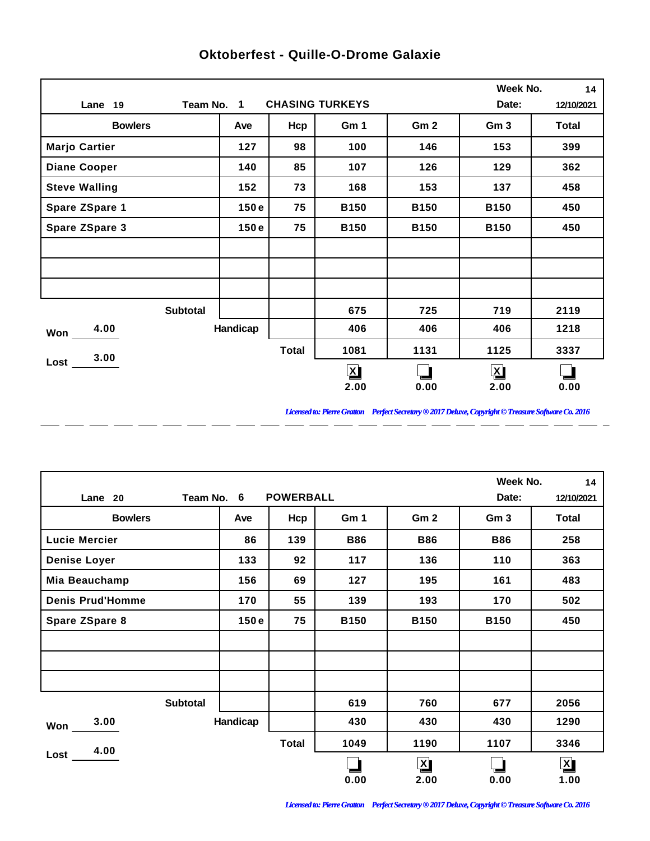|                       |                 |              |                        |                 | Week No.        | 14           |
|-----------------------|-----------------|--------------|------------------------|-----------------|-----------------|--------------|
| Lane 19               | Team No. 1      |              | <b>CHASING TURKEYS</b> |                 | Date:           | 12/10/2021   |
| <b>Bowlers</b>        | Ave             | Hcp          | Gm 1                   | Gm <sub>2</sub> | Gm <sub>3</sub> | <b>Total</b> |
| <b>Marjo Cartier</b>  | 127             | 98           | 100                    | 146             | 153             | 399          |
| <b>Diane Cooper</b>   | 140             | 85           | 107                    | 126             | 129             | 362          |
| <b>Steve Walling</b>  | 152             | 73           | 168                    | 153             | 137             | 458          |
| <b>Spare ZSpare 1</b> | 150e            | 75           | <b>B150</b>            | <b>B150</b>     | <b>B150</b>     | 450          |
| <b>Spare ZSpare 3</b> | 150e            | 75           | <b>B150</b>            | <b>B150</b>     | <b>B150</b>     | 450          |
|                       |                 |              |                        |                 |                 |              |
|                       |                 |              |                        |                 |                 |              |
|                       |                 |              |                        |                 |                 |              |
|                       | <b>Subtotal</b> |              | 675                    | 725             | 719             | 2119         |
| 4.00<br>Won           | Handicap        |              | 406                    | 406             | 406             | 1218         |
| 3.00                  |                 | <b>Total</b> | 1081                   | 1131            | 1125            | 3337         |
| Lost                  |                 |              | $\mathbf{z}$           |                 | $\mathbf{X}$    |              |
|                       |                 |              | 2.00                   | 0.00            | 2.00            | 0.00         |

 $-$ 

 $\overline{a}$ 

 $\overline{a}$ 

 $\overline{a}$ 

 $\overline{a}$ 

 $\overline{a}$ 

 $\overline{a}$ 

 $\overline{a}$ 

## **Oktoberfest - Quille-O-Drome Galaxie**

*Licensed to: Pierre Gratton Perfect Secretary ® 2017 Deluxe, Copyright © Treasure Software Co. 2016*

<u> 2002 - 2003 - 2003 - 2003 - 2003 - 2003 - 2003 - 2003 - 2003 - 2003 - 2003 - 2003 - 2003 - 2003 - 2003 - 200</u>

|                         |                 |          |                  |             |                         | Week No.        | 14                      |
|-------------------------|-----------------|----------|------------------|-------------|-------------------------|-----------------|-------------------------|
| Lane 20                 | Team No. 6      |          | <b>POWERBALL</b> |             |                         | Date:           | 12/10/2021              |
| <b>Bowlers</b>          |                 | Ave      | Hcp              | Gm 1        | Gm <sub>2</sub>         | Gm <sub>3</sub> | Total                   |
| <b>Lucie Mercier</b>    |                 | 86       | 139              | <b>B86</b>  | <b>B86</b>              | <b>B86</b>      | 258                     |
| <b>Denise Loyer</b>     |                 | 133      | 92               | 117         | 136                     | 110             | 363                     |
| Mia Beauchamp           |                 | 156      | 69               | 127         | 195                     | 161             | 483                     |
| <b>Denis Prud'Homme</b> |                 | 170      | 55               | 139         | 193                     | 170             | 502                     |
| Spare ZSpare 8          |                 | 150e     | 75               | <b>B150</b> | <b>B150</b>             | <b>B150</b>     | 450                     |
|                         |                 |          |                  |             |                         |                 |                         |
|                         |                 |          |                  |             |                         |                 |                         |
|                         |                 |          |                  |             |                         |                 |                         |
|                         | <b>Subtotal</b> |          |                  | 619         | 760                     | 677             | 2056                    |
| 3.00<br>Won             |                 | Handicap |                  | 430         | 430                     | 430             | 1290                    |
| 4.00                    |                 |          | <b>Total</b>     | 1049        | 1190                    | 1107            | 3346                    |
| Lost                    |                 |          |                  |             | $\overline{\mathbf{X}}$ |                 | $\overline{\mathbf{X}}$ |
|                         |                 |          |                  | 0.00        | 2.00                    | 0.00            | 1.00                    |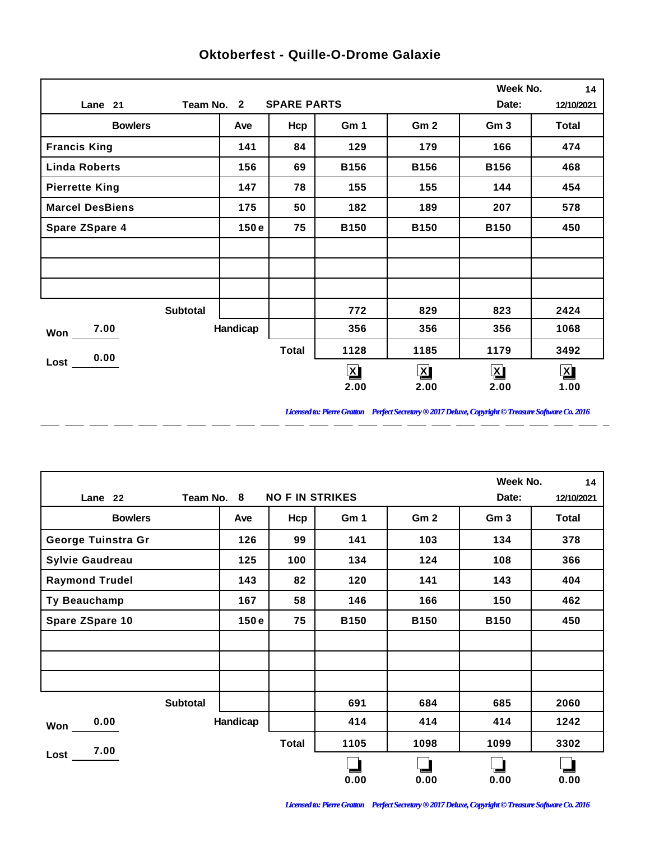|                        |          |                    |                         |                 | Week No.        | 14                   |
|------------------------|----------|--------------------|-------------------------|-----------------|-----------------|----------------------|
| Team No. 2<br>Lane 21  |          | <b>SPARE PARTS</b> |                         |                 | Date:           | 12/10/2021           |
| <b>Bowlers</b>         | Ave      | Hcp                | Gm 1                    | Gm <sub>2</sub> | Gm <sub>3</sub> | <b>Total</b>         |
| <b>Francis King</b>    | 141      | 84                 | 129                     | 179             | 166             | 474                  |
| <b>Linda Roberts</b>   | 156      | 69                 | <b>B156</b>             | <b>B156</b>     | <b>B156</b>     | 468                  |
| <b>Pierrette King</b>  | 147      | 78                 | 155                     | 155             | 144             | 454                  |
| <b>Marcel DesBiens</b> | 175      | 50                 | 182                     | 189             | 207             | 578                  |
| Spare ZSpare 4         | 150e     | 75                 | <b>B150</b>             | <b>B150</b>     | <b>B150</b>     | 450                  |
|                        |          |                    |                         |                 |                 |                      |
|                        |          |                    |                         |                 |                 |                      |
|                        |          |                    |                         |                 |                 |                      |
| <b>Subtotal</b>        |          |                    | 772                     | 829             | 823             | 2424                 |
| 7.00<br>Won            | Handicap |                    | 356                     | 356             | 356             | 1068                 |
| 0.00                   |          | <b>Total</b>       | 1128                    | 1185            | 1179            | 3492                 |
| Lost                   |          |                    | $\overline{\mathbf{X}}$ | $\mathbf{X}$    | $\mathbf{X}$    | $\boxed{\mathbf{X}}$ |
|                        |          |                    | 2.00                    | 2.00            | 2.00            | 1.00                 |

 $\overline{a}$ 

 $\overline{a}$ 

 $\overline{a}$ 

 $\overline{a}$ 

 $\overline{a}$ 

 $-$ 

 $\overline{a}$ 

 $=$   $=$ 

## **Oktoberfest - Quille-O-Drome Galaxie**

*Licensed to: Pierre Gratton Perfect Secretary ® 2017 Deluxe, Copyright © Treasure Software Co. 2016* 

 $\overline{\phantom{0}}$ 

|                        |            |                        |             |                 |                 | Week No.<br>14 |
|------------------------|------------|------------------------|-------------|-----------------|-----------------|----------------|
| Lane 22                | Team No. 8 | <b>NO F IN STRIKES</b> |             |                 | Date:           | 12/10/2021     |
| <b>Bowlers</b>         | Ave        | Hcp                    | Gm 1        | Gm <sub>2</sub> | Gm <sub>3</sub> | Total          |
| George Tuinstra Gr     | 126        | 99                     | 141         | 103             | 134             | 378            |
| <b>Sylvie Gaudreau</b> | 125        | 100                    | 134         | 124             | 108             | 366            |
| <b>Raymond Trudel</b>  | 143        | 82                     | 120         | 141             | 143             | 404            |
| Ty Beauchamp           | 167        | 58                     | 146         | 166             | 150             | 462            |
| Spare ZSpare 10        | 150e       | 75                     | <b>B150</b> | <b>B150</b>     | <b>B150</b>     | 450            |
|                        |            |                        |             |                 |                 |                |
|                        |            |                        |             |                 |                 |                |
|                        |            |                        |             |                 |                 |                |
| <b>Subtotal</b>        |            |                        | 691         | 684             | 685             | 2060           |
| 0.00<br>Won            | Handicap   |                        | 414         | 414             | 414             | 1242           |
| 7.00                   |            | <b>Total</b>           | 1105        | 1098            | 1099            | 3302           |
| Lost                   |            |                        |             |                 |                 |                |
|                        |            |                        | 0.00        | 0.00            | 0.00            | 0.00           |